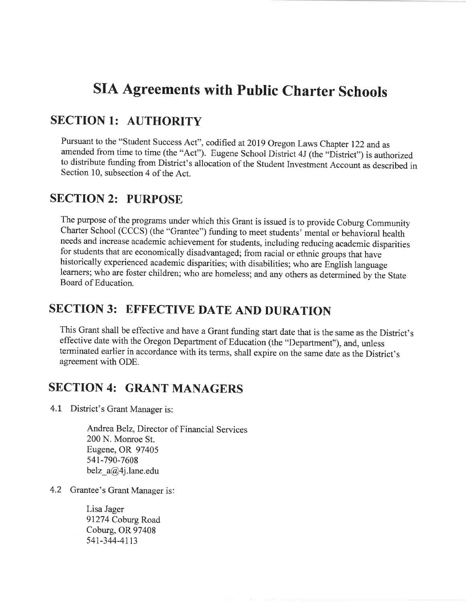### **SIA Agreements with Public Charter Schools**

### SECTION 1: AUTHORITY

Pursuant to the "Student Success Act", codified at 2019 Oregon Laws Chapter 122 and as amended from time to time (the "Act"). Eugene School District 4J (the "District") is authorized to distribute funding from District's allocation of the Student Investment Account as described inSection 10, subsection 4 of the Act.

#### SECTION 2: PURPOSE

The purpose of the programs under which this Grant is issued is to provide Coburg Community Charter School (CCCS) (the "Grantee") funding to meet students' mental or behavioral health needs and increase academic achievement for students, including reducing academic disparitiesfor students that are economically disadvantaged; from racial or ethnic groups that have historically experienced academic disparities; with disabilities; who are English language learners; who are foster children; who are homeless; and any others as determined by the State. Board of Education.

### SECTION 3: EFFECTIVE DATE AND DURATION

This Grant shall be effective and have a Grant funding start date that is the same as the District's effective date with the Oregon Department of Education (the "Department"), and, unless terminated earlier in accordance with its terms, shall expire on the same date as the District'sagreement with ODE.

### SECTION 4: GRANT MANAGERS

4.7 District's Grant Manager is:

Andrea Belz, Director of Financial Services200 N. Monroe St. Eugene, OR 97405541-790-7608belz\_a@4j.lane.edu

4.2 Grantee's Grant Manager is:

Lisa Jager 91274 Coburg Road Coburg, OR 97408541-344-4113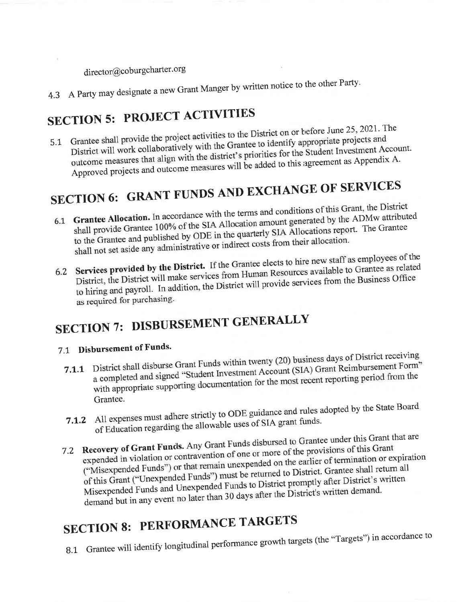director@coburgcharter.org

4.3 A Party may designate a new Grant Manger by written notice to the other Party.

## **SECTION 5: PROJECT ACTIVITIES**

5.1 Grantee shall provide the project activities to the District on or before June 25, 2021. The District will work collaboratively with the Grantee to identify appropriate projects and outcome measures that align with the district's priorities for the Student Investment Account. Approved projects and outcome measures will be added to this agreement as Appendix A.

# SECTION 6: GRANT FUNDS AND EXCHANGE OF SERVICES

- 6.1 Grantee Allocation. In accordance with the terms and conditions of this Grant, the District shall provide Grantee 100% of the SIA Allocation amount generated by the ADMw attributed to the Grantee and published by ODE in the quarterly SIA Allocations report. The Grantee shall not set aside any administrative or indirect costs from their allocation.
- 6.2 Services provided by the District. If the Grantee elects to hire new staff as employees of the District, the District will make services from Human Resources available to Grantee as related to hiring and payroll. In addition, the District will provide services from the Business Office as required for purchasing.

# SECTION 7: DISBURSEMENT GENERALLY

### 7.1 Disbursement of Funds.

- 7.1.1 District shall disburse Grant Funds within twenty (20) business days of District receiving a completed and signed "Student Investment Account (SIA) Grant Reimbursement Form" with appropriate supporting documentation for the most recent reporting period from the Grantee.
- 7.1.2 All expenses must adhere strictly to ODE guidance and rules adopted by the State Board of Education regarding the allowable uses of SIA grant funds.
- 7.2 Recovery of Grant Funds. Any Grant Funds disbursed to Grantee under this Grant that are expended in violation or contravention of one or more of the provisions of this Grant ("Misexpended Funds") or that remain unexpended on the earlier of termination or expiration of this Grant ("Unexpended Funds") must be returned to District. Grantee shall return all Misexpended Funds and Unexpended Funds to District promptly after District's written demand but in any event no later than 30 days after the District's written demand.

### **SECTION 8: PERFORMANCE TARGETS**

8.1 Grantee will identify longitudinal performance growth targets (the "Targets") in accordance to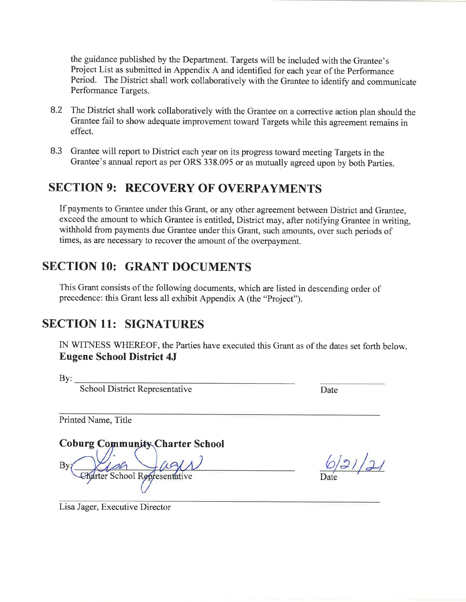the guidance published by the Department. Targets will be included with the Grantee's Project List as submitted in Appendix A and identified for each year of the Performance Period. The District shall work collaboratively with the Grantee to identify and communicatePerformance Targets.

- 8.2 The District shall work collaboratively with the Grantee on a corrective action plan should theGrantee fail to show adequate improvement toward Targets while this agreement remains ineffect.
- 8.3 Grantee will report to District each year on its progress toward meeting Targets in theGrantee's annual report as per ORS 338.095 or as mutually agreed upon by both Parties.

### SECTION 9: RECOVERY OF OVERPAYMENTS

If payments to Grantee under this Grant, or any other agreement between District and Grantee, exceed the amount to which Grantee is entitled, District may, after notifying Grantee in writing,withhold from payments due Grantee under this Grant, such amounts, over such periods oftimes, as are necessary to recover the amount of the overpayment.

### SECTION 10: GRANT DOCUMENTS

This Grant consists of the following documents, which are listed in descending order ofprecedence: this Grant less all exhibit Appendix A (the "Project").

### SECTION 11: SIGNATURES

IN WITNESS WHEREOF, the Parties have executed this Grant as of the dates set forth below. Eugene School District 4J

 $By:$ 

School District Representative

e Date

Printed Name, Title

Coburg Community Charter School By School Representative

 $6|31|21$ 

Lisa Jager, Executive Director